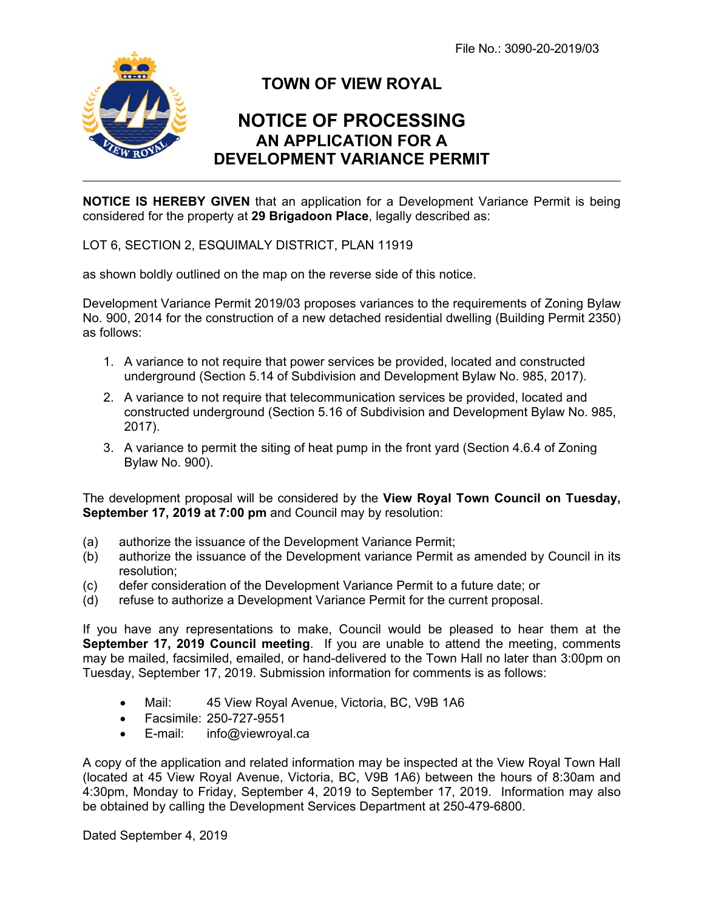File No.: 3090-20-2019/03



i<br>L

## **TOWN OF VIEW ROYAL**

## **NOTICE OF PROCESSING AN APPLICATION FOR A DEVELOPMENT VARIANCE PERMIT**

**NOTICE IS HEREBY GIVEN** that an application for a Development Variance Permit is being considered for the property at **29 Brigadoon Place**, legally described as:

LOT 6, SECTION 2, ESQUIMALY DISTRICT, PLAN 11919

as shown boldly outlined on the map on the reverse side of this notice.

Development Variance Permit 2019/03 proposes variances to the requirements of Zoning Bylaw No. 900, 2014 for the construction of a new detached residential dwelling (Building Permit 2350) as follows:

- 1. A variance to not require that power services be provided, located and constructed underground (Section 5.14 of Subdivision and Development Bylaw No. 985, 2017).
- 2. A variance to not require that telecommunication services be provided, located and constructed underground (Section 5.16 of Subdivision and Development Bylaw No. 985, 2017).
- 3. A variance to permit the siting of heat pump in the front yard (Section 4.6.4 of Zoning Bylaw No. 900).

The development proposal will be considered by the **View Royal Town Council on Tuesday, September 17, 2019 at 7:00 pm** and Council may by resolution:

- (a) authorize the issuance of the Development Variance Permit;
- (b) authorize the issuance of the Development variance Permit as amended by Council in its resolution;
- (c) defer consideration of the Development Variance Permit to a future date; or
- (d) refuse to authorize a Development Variance Permit for the current proposal.

If you have any representations to make, Council would be pleased to hear them at the **September 17, 2019 Council meeting**. If you are unable to attend the meeting, comments may be mailed, facsimiled, emailed, or hand-delivered to the Town Hall no later than 3:00pm on Tuesday, September 17, 2019. Submission information for comments is as follows:

- Mail: 45 View Royal Avenue, Victoria, BC, V9B 1A6
- Facsimile: 250-727-9551
- E-mail: info@viewroyal.ca

A copy of the application and related information may be inspected at the View Royal Town Hall (located at 45 View Royal Avenue, Victoria, BC, V9B 1A6) between the hours of 8:30am and 4:30pm, Monday to Friday, September 4, 2019 to September 17, 2019. Information may also be obtained by calling the Development Services Department at 250-479-6800.

Dated September 4, 2019